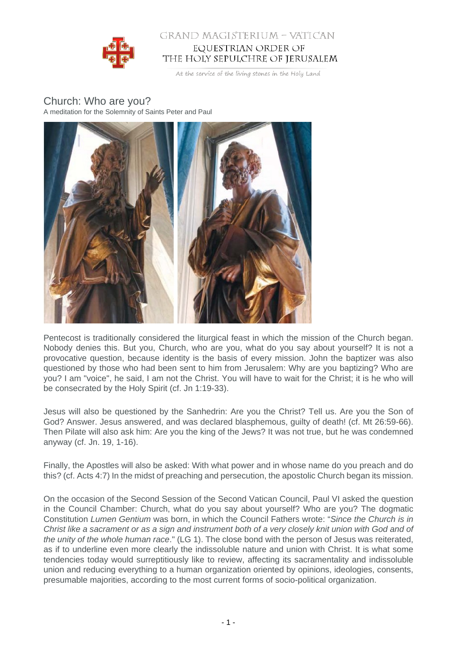

## GRAND MAGISTERIUM - VATICAN EQUESTRIAN ORDER OF THE HOLY SEPULCHRE OF JERUSALEM

At the service of the living stones in the Holy Land

## Church: Who are you? A meditation for the Solemnity of Saints Peter and Paul



Pentecost is traditionally considered the liturgical feast in which the mission of the Church began. Nobody denies this. But you, Church, who are you, what do you say about yourself? It is not a provocative question, because identity is the basis of every mission. John the baptizer was also questioned by those who had been sent to him from Jerusalem: Why are you baptizing? Who are you? I am "voice", he said, I am not the Christ. You will have to wait for the Christ; it is he who will be consecrated by the Holy Spirit (cf. Jn 1:19-33).

Jesus will also be questioned by the Sanhedrin: Are you the Christ? Tell us. Are you the Son of God? Answer. Jesus answered, and was declared blasphemous, guilty of death! (cf. Mt 26:59-66). Then Pilate will also ask him: Are you the king of the Jews? It was not true, but he was condemned anyway (cf. Jn. 19, 1-16).

Finally, the Apostles will also be asked: With what power and in whose name do you preach and do this? (cf. Acts 4:7) In the midst of preaching and persecution, the apostolic Church began its mission.

On the occasion of the Second Session of the Second Vatican Council, Paul VI asked the question in the Council Chamber: Church, what do you say about yourself? Who are you? The dogmatic Constitution Lumen Gentium was born, in which the Council Fathers wrote: "Since the Church is in Christ like a sacrament or as a sign and instrument both of a very closely knit union with God and of the unity of the whole human race." (LG 1). The close bond with the person of Jesus was reiterated, as if to underline even more clearly the indissoluble nature and union with Christ. It is what some tendencies today would surreptitiously like to review, affecting its sacramentality and indissoluble union and reducing everything to a human organization oriented by opinions, ideologies, consents, presumable majorities, according to the most current forms of socio-political organization.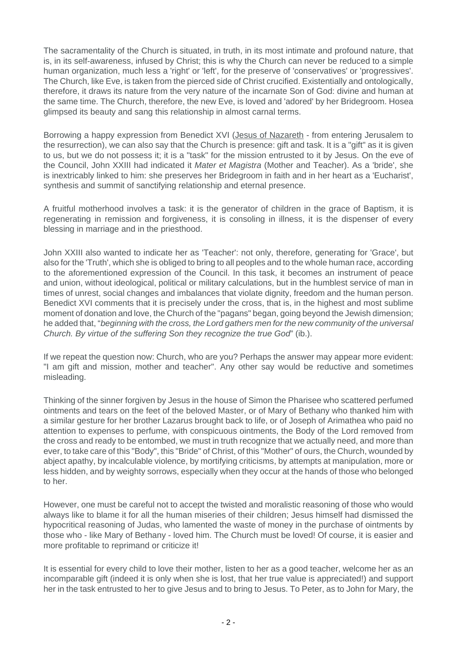The sacramentality of the Church is situated, in truth, in its most intimate and profound nature, that is, in its self-awareness, infused by Christ; this is why the Church can never be reduced to a simple human organization, much less a 'right' or 'left', for the preserve of 'conservatives' or 'progressives'. The Church, like Eve, is taken from the pierced side of Christ crucified. Existentially and ontologically, therefore, it draws its nature from the very nature of the incarnate Son of God: divine and human at the same time. The Church, therefore, the new Eve, is loved and 'adored' by her Bridegroom. Hosea glimpsed its beauty and sang this relationship in almost carnal terms.

Borrowing a happy expression from Benedict XVI (Jesus of Nazareth - from entering Jerusalem to the resurrection), we can also say that the Church is presence: gift and task. It is a "gift" as it is given to us, but we do not possess it; it is a "task" for the mission entrusted to it by Jesus. On the eve of the Council, John XXIII had indicated it Mater et Magistra (Mother and Teacher). As a 'bride', she is inextricably linked to him: she preserves her Bridegroom in faith and in her heart as a 'Eucharist', synthesis and summit of sanctifying relationship and eternal presence.

A fruitful motherhood involves a task: it is the generator of children in the grace of Baptism, it is regenerating in remission and forgiveness, it is consoling in illness, it is the dispenser of every blessing in marriage and in the priesthood.

John XXIII also wanted to indicate her as 'Teacher': not only, therefore, generating for 'Grace', but also for the 'Truth', which she is obliged to bring to all peoples and to the whole human race, according to the aforementioned expression of the Council. In this task, it becomes an instrument of peace and union, without ideological, political or military calculations, but in the humblest service of man in times of unrest, social changes and imbalances that violate dignity, freedom and the human person. Benedict XVI comments that it is precisely under the cross, that is, in the highest and most sublime moment of donation and love, the Church of the "pagans" began, going beyond the Jewish dimension; he added that, "beginning with the cross, the Lord gathers men for the new community of the universal Church. By virtue of the suffering Son they recognize the true God" (ib.).

If we repeat the question now: Church, who are you? Perhaps the answer may appear more evident: "I am gift and mission, mother and teacher". Any other say would be reductive and sometimes misleading.

Thinking of the sinner forgiven by Jesus in the house of Simon the Pharisee who scattered perfumed ointments and tears on the feet of the beloved Master, or of Mary of Bethany who thanked him with a similar gesture for her brother Lazarus brought back to life, or of Joseph of Arimathea who paid no attention to expenses to perfume, with conspicuous ointments, the Body of the Lord removed from the cross and ready to be entombed, we must in truth recognize that we actually need, and more than ever, to take care of this "Body", this "Bride" of Christ, of this "Mother" of ours, the Church, wounded by abject apathy, by incalculable violence, by mortifying criticisms, by attempts at manipulation, more or less hidden, and by weighty sorrows, especially when they occur at the hands of those who belonged to her.

However, one must be careful not to accept the twisted and moralistic reasoning of those who would always like to blame it for all the human miseries of their children; Jesus himself had dismissed the hypocritical reasoning of Judas, who lamented the waste of money in the purchase of ointments by those who - like Mary of Bethany - loved him. The Church must be loved! Of course, it is easier and more profitable to reprimand or criticize it!

It is essential for every child to love their mother, listen to her as a good teacher, welcome her as an incomparable gift (indeed it is only when she is lost, that her true value is appreciated!) and support her in the task entrusted to her to give Jesus and to bring to Jesus. To Peter, as to John for Mary, the